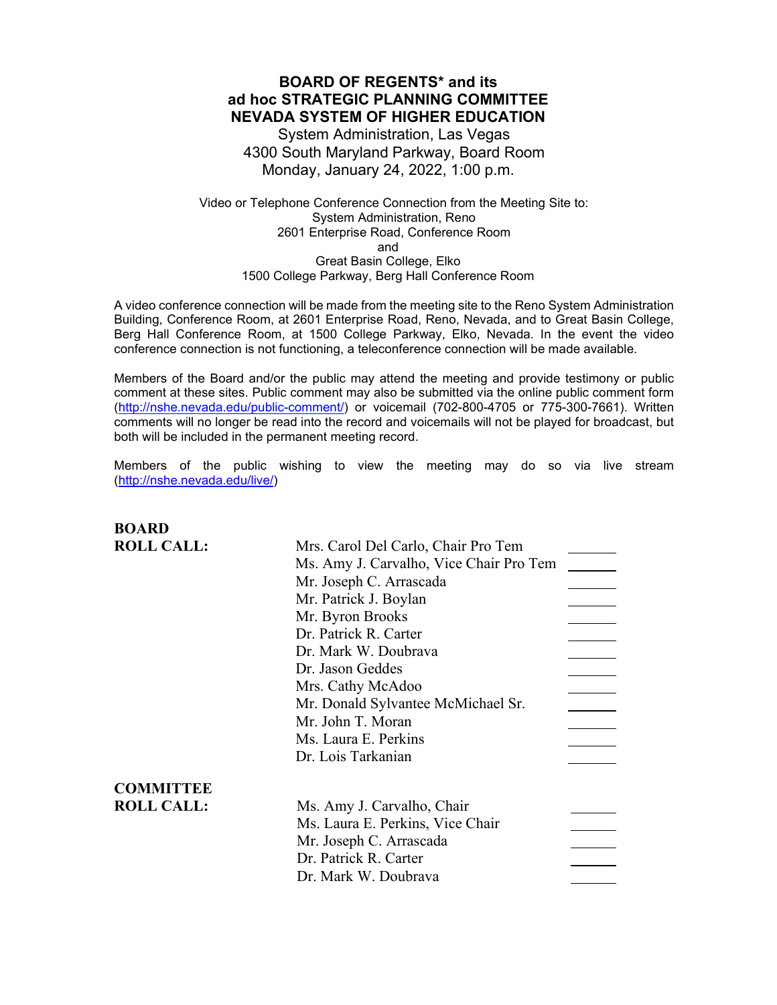### **BOARD OF REGENTS\* and its ad hoc STRATEGIC PLANNING COMMITTEE NEVADA SYSTEM OF HIGHER EDUCATION**

System Administration, Las Vegas 4300 South Maryland Parkway, Board Room Monday, January 24, 2022, 1:00 p.m.

Video or Telephone Conference Connection from the Meeting Site to: System Administration, Reno 2601 Enterprise Road, Conference Room and Great Basin College, Elko 1500 College Parkway, Berg Hall Conference Room

A video conference connection will be made from the meeting site to the Reno System Administration Building, Conference Room, at 2601 Enterprise Road, Reno, Nevada, and to Great Basin College, Berg Hall Conference Room, at 1500 College Parkway, Elko, Nevada. In the event the video conference connection is not functioning, a teleconference connection will be made available.

Members of the Board and/or the public may attend the meeting and provide testimony or public comment at these sites. Public comment may also be submitted via the online public comment form [\(http://nshe.nevada.edu/public-comment/\)](http://nshe.nevada.edu/public-comment/) or voicemail (702-800-4705 or 775-300-7661). Written comments will no longer be read into the record and voicemails will not be played for broadcast, but both will be included in the permanent meeting record.

Members of the public wishing to view the meeting may do so via live stream [\(http://nshe.nevada.edu/live/\)](http://nshe.nevada.edu/live/)

| <b>BOARD</b>      |                                         |
|-------------------|-----------------------------------------|
| <b>ROLL CALL:</b> | Mrs. Carol Del Carlo, Chair Pro Tem     |
|                   | Ms. Amy J. Carvalho, Vice Chair Pro Tem |
|                   | Mr. Joseph C. Arrascada                 |
|                   | Mr. Patrick J. Boylan                   |
|                   | Mr. Byron Brooks                        |
|                   | Dr. Patrick R. Carter                   |
|                   | Dr. Mark W. Doubrava                    |
|                   | Dr. Jason Geddes                        |
|                   | Mrs. Cathy McAdoo                       |
|                   | Mr. Donald Sylvantee McMichael Sr.      |
|                   | Mr. John T. Moran                       |
|                   | Ms. Laura E. Perkins                    |
|                   | Dr. Lois Tarkanian                      |
| <b>COMMITTEE</b>  |                                         |
| <b>ROLL CALL:</b> | Ms. Amy J. Carvalho, Chair              |
|                   | Ms. Laura E. Perkins, Vice Chair        |
|                   | Mr. Joseph C. Arrascada                 |
|                   | Dr. Patrick R. Carter                   |
|                   | Dr. Mark W. Doubrava                    |
|                   |                                         |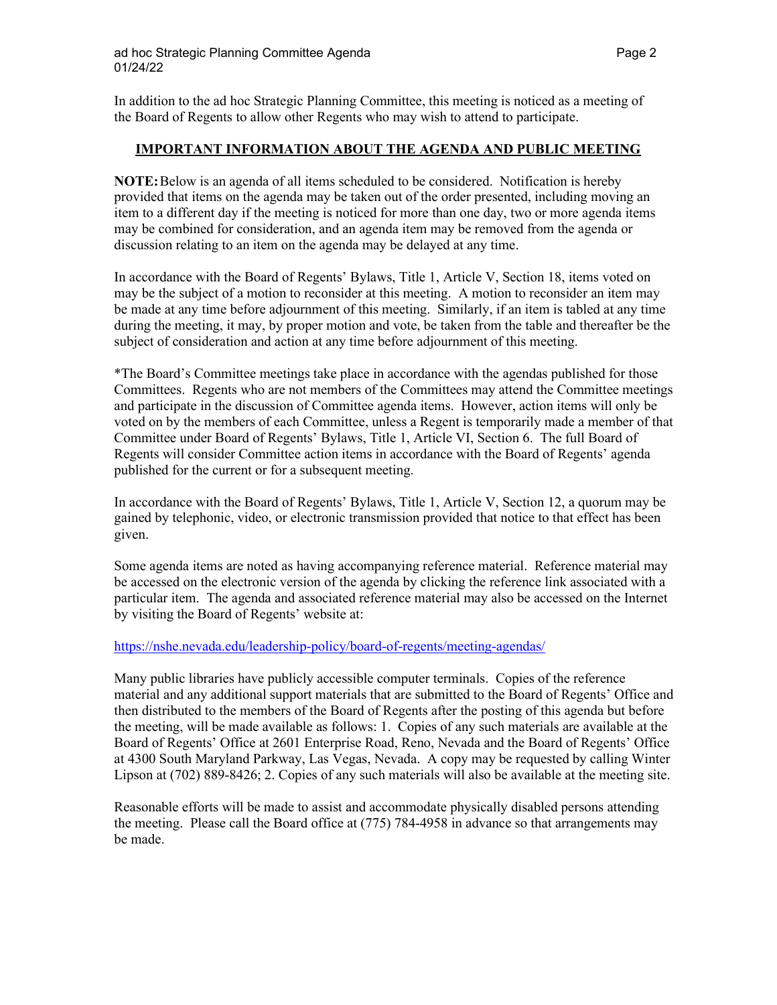In addition to the ad hoc Strategic Planning Committee, this meeting is noticed as a meeting of the Board of Regents to allow other Regents who may wish to attend to participate.

### **IMPORTANT INFORMATION ABOUT THE AGENDA AND PUBLIC MEETING**

**NOTE:**Below is an agenda of all items scheduled to be considered. Notification is hereby provided that items on the agenda may be taken out of the order presented, including moving an item to a different day if the meeting is noticed for more than one day, two or more agenda items may be combined for consideration, and an agenda item may be removed from the agenda or discussion relating to an item on the agenda may be delayed at any time.

In accordance with the Board of Regents' Bylaws, Title 1, Article V, Section 18, items voted on may be the subject of a motion to reconsider at this meeting. A motion to reconsider an item may be made at any time before adjournment of this meeting. Similarly, if an item is tabled at any time during the meeting, it may, by proper motion and vote, be taken from the table and thereafter be the subject of consideration and action at any time before adjournment of this meeting.

\*The Board's Committee meetings take place in accordance with the agendas published for those Committees. Regents who are not members of the Committees may attend the Committee meetings and participate in the discussion of Committee agenda items. However, action items will only be voted on by the members of each Committee, unless a Regent is temporarily made a member of that Committee under Board of Regents' Bylaws, Title 1, Article VI, Section 6. The full Board of Regents will consider Committee action items in accordance with the Board of Regents' agenda published for the current or for a subsequent meeting.

In accordance with the Board of Regents' Bylaws, Title 1, Article V, Section 12, a quorum may be gained by telephonic, video, or electronic transmission provided that notice to that effect has been given.

Some agenda items are noted as having accompanying reference material. Reference material may be accessed on the electronic version of the agenda by clicking the reference link associated with a particular item. The agenda and associated reference material may also be accessed on the Internet by visiting the Board of Regents' website at:

### <https://nshe.nevada.edu/leadership-policy/board-of-regents/meeting-agendas/>

Many public libraries have publicly accessible computer terminals. Copies of the reference material and any additional support materials that are submitted to the Board of Regents' Office and then distributed to the members of the Board of Regents after the posting of this agenda but before the meeting, will be made available as follows: 1. Copies of any such materials are available at the Board of Regents' Office at 2601 Enterprise Road, Reno, Nevada and the Board of Regents' Office at 4300 South Maryland Parkway, Las Vegas, Nevada. A copy may be requested by calling Winter Lipson at (702) 889-8426; 2. Copies of any such materials will also be available at the meeting site.

Reasonable efforts will be made to assist and accommodate physically disabled persons attending the meeting. Please call the Board office at (775) 784-4958 in advance so that arrangements may be made.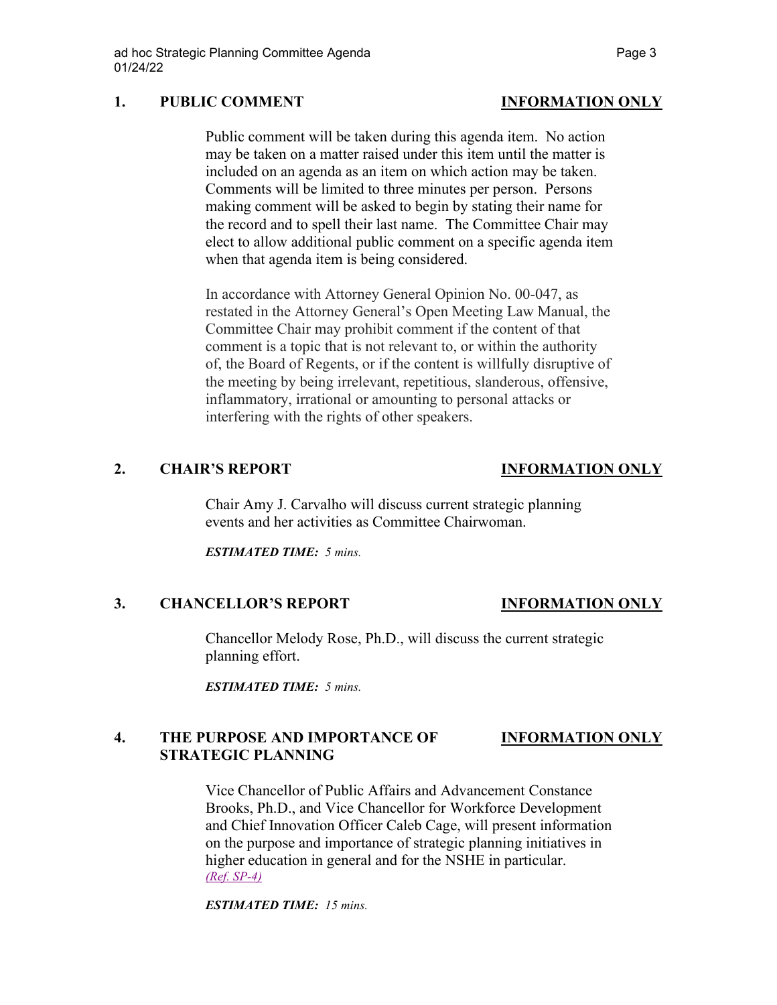## **1. PUBLIC COMMENT INFORMATION ONLY**

# Public comment will be taken during this agenda item. No action may be taken on a matter raised under this item until the matter is included on an agenda as an item on which action may be taken. Comments will be limited to three minutes per person. Persons making comment will be asked to begin by stating their name for the record and to spell their last name. The Committee Chair may elect to allow additional public comment on a specific agenda item

In accordance with Attorney General Opinion No. 00-047, as restated in the Attorney General's Open Meeting Law Manual, the Committee Chair may prohibit comment if the content of that comment is a topic that is not relevant to, or within the authority of, the Board of Regents, or if the content is willfully disruptive of the meeting by being irrelevant, repetitious, slanderous, offensive, inflammatory, irrational or amounting to personal attacks or interfering with the rights of other speakers.

when that agenda item is being considered.

# **2. CHAIR'S REPORT INFORMATION ONLY**

Chair Amy J. Carvalho will discuss current strategic planning events and her activities as Committee Chairwoman.

*ESTIMATED TIME: 5 mins.*

## **3. CHANCELLOR'S REPORT INFORMATION ONLY**

Chancellor Melody Rose, Ph.D., will discuss the current strategic planning effort.

*ESTIMATED TIME: 5 mins.*

# **4. THE PURPOSE AND IMPORTANCE OF INFORMATION ONLY STRATEGIC PLANNING**

Vice Chancellor of Public Affairs and Advancement Constance Brooks, Ph.D., and Vice Chancellor for Workforce Development and Chief Innovation Officer Caleb Cage, will present information on the purpose and importance of strategic planning initiatives in higher education in general and for the NSHE in particular. *[\(Ref. SP-4\)](https://nshe.nevada.edu/wp-content/uploads/file/BoardOfRegents/Agendas/2022/01-jan-mtgs/sp-refs/SP-4.pdf)*

*ESTIMATED TIME: 15 mins.*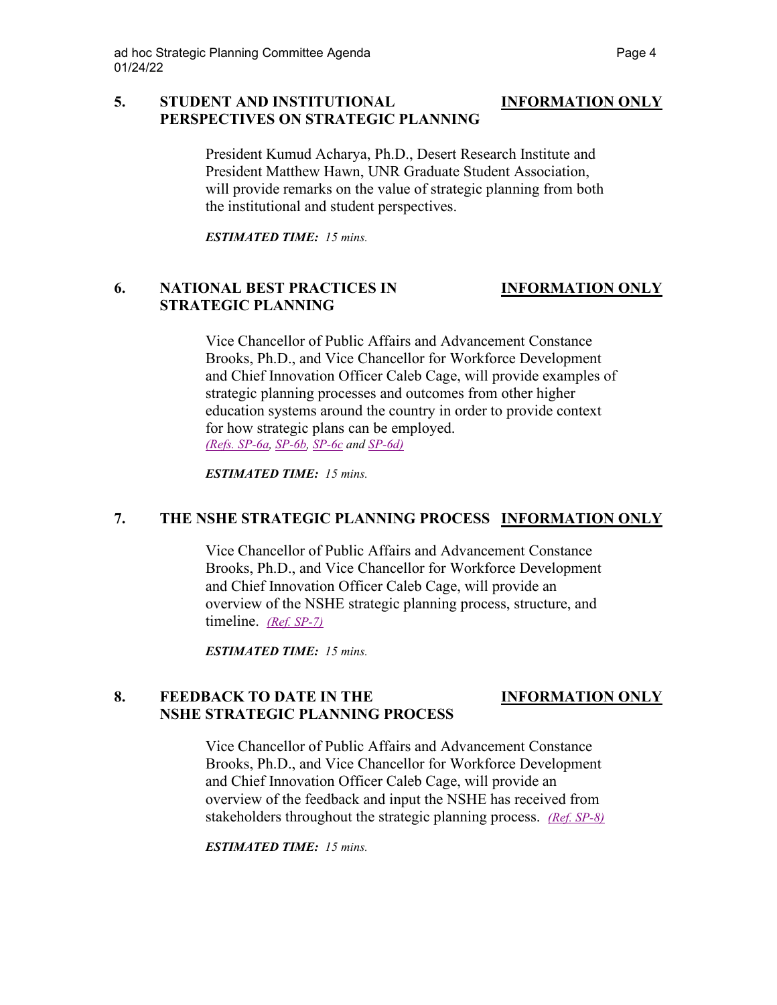### **5. STUDENT AND INSTITUTIONAL INFORMATION ONLY PERSPECTIVES ON STRATEGIC PLANNING**

President Kumud Acharya, Ph.D., Desert Research Institute and President Matthew Hawn, UNR Graduate Student Association, will provide remarks on the value of strategic planning from both the institutional and student perspectives.

*ESTIMATED TIME: 15 mins.*

# **6. NATIONAL BEST PRACTICES IN INFORMATION ONLY STRATEGIC PLANNING**

Vice Chancellor of Public Affairs and Advancement Constance Brooks, Ph.D., and Vice Chancellor for Workforce Development and Chief Innovation Officer Caleb Cage, will provide examples of strategic planning processes and outcomes from other higher education systems around the country in order to provide context for how strategic plans can be employed. *[\(Refs. SP-6a,](https://nshe.nevada.edu/wp-content/uploads/file/BoardOfRegents/Agendas/2022/01-jan-mtgs/sp-refs/SP-6a.pdf) [SP-6b,](https://nshe.nevada.edu/wp-content/uploads/file/BoardOfRegents/Agendas/2022/01-jan-mtgs/sp-refs/SP-6b.pdf) [SP-6c](https://nshe.nevada.edu/wp-content/uploads/file/BoardOfRegents/Agendas/2022/01-jan-mtgs/sp-refs/SP-6c.pdf) and [SP-6d\)](https://nshe.nevada.edu/wp-content/uploads/file/BoardOfRegents/Agendas/2022/01-jan-mtgs/sp-refs/SP-6d.pdf)*

*ESTIMATED TIME: 15 mins.*

## **7. THE NSHE STRATEGIC PLANNING PROCESS INFORMATION ONLY**

Vice Chancellor of Public Affairs and Advancement Constance Brooks, Ph.D., and Vice Chancellor for Workforce Development and Chief Innovation Officer Caleb Cage, will provide an overview of the NSHE strategic planning process, structure, and timeline. *[\(Ref. SP-7\)](https://nshe.nevada.edu/wp-content/uploads/file/BoardOfRegents/Agendas/2022/01-jan-mtgs/sp-refs/SP-7.pdf)*

*ESTIMATED TIME: 15 mins.*

# **8. FEEDBACK TO DATE IN THE INFORMATION ONLY NSHE STRATEGIC PLANNING PROCESS**

Vice Chancellor of Public Affairs and Advancement Constance Brooks, Ph.D., and Vice Chancellor for Workforce Development and Chief Innovation Officer Caleb Cage, will provide an overview of the feedback and input the NSHE has received from stakeholders throughout the strategic planning process. *[\(Ref. SP-8\)](https://nshe.nevada.edu/wp-content/uploads/file/BoardOfRegents/Agendas/2022/01-jan-mtgs/sp-refs/SP-8.pdf)*

*ESTIMATED TIME: 15 mins.*